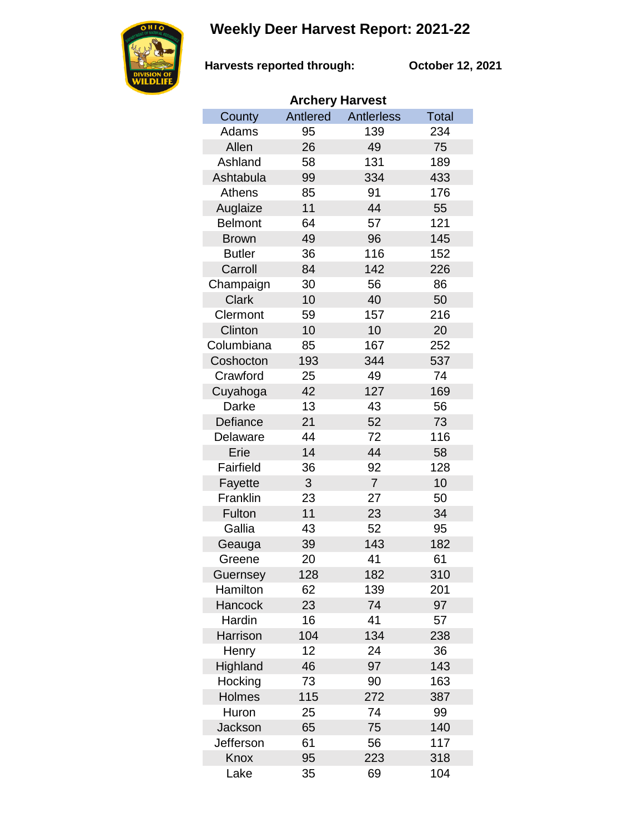## **Weekly Deer Harvest Report: 2021-22**



**Harvests reported through: October 12, 2021**

| <b>Archery Harvest</b> |          |                   |              |  |  |  |  |
|------------------------|----------|-------------------|--------------|--|--|--|--|
| County                 | Antlered | <b>Antlerless</b> | <b>Total</b> |  |  |  |  |
| Adams                  | 95       | 139               | 234          |  |  |  |  |
| Allen                  | 26       | 49                | 75           |  |  |  |  |
| Ashland                | 58       | 131               | 189          |  |  |  |  |
| Ashtabula              | 99       | 334               | 433          |  |  |  |  |
| <b>Athens</b>          | 85       | 91                | 176          |  |  |  |  |
| Auglaize               | 11       | 44                | 55           |  |  |  |  |
| <b>Belmont</b>         | 64       | 57                | 121          |  |  |  |  |
| <b>Brown</b>           | 49       | 96                | 145          |  |  |  |  |
| <b>Butler</b>          | 36       | 116               | 152          |  |  |  |  |
| Carroll                | 84       | 142               | 226          |  |  |  |  |
| Champaign              | 30       | 56                | 86           |  |  |  |  |
| <b>Clark</b>           | 10       | 40                | 50           |  |  |  |  |
| Clermont               | 59       | 157               | 216          |  |  |  |  |
| Clinton                | 10       | 10                | 20           |  |  |  |  |
| Columbiana             | 85       | 167               | 252          |  |  |  |  |
| Coshocton              | 193      | 344               | 537          |  |  |  |  |
| Crawford               | 25       | 49                | 74           |  |  |  |  |
| Cuyahoga               | 42       | 127               | 169          |  |  |  |  |
| Darke                  | 13       | 43                | 56           |  |  |  |  |
| Defiance               | 21       | 52                | 73           |  |  |  |  |
| Delaware               | 44       | 72                | 116          |  |  |  |  |
| Erie                   | 14       | 44                | 58           |  |  |  |  |
| Fairfield              | 36       | 92                | 128          |  |  |  |  |
| Fayette                | 3        | $\overline{7}$    | 10           |  |  |  |  |
| Franklin               | 23       | 27                | 50           |  |  |  |  |
| Fulton                 | 11       | 23                | 34           |  |  |  |  |
| Gallia                 | 43       | 52                | 95           |  |  |  |  |
| Geauga                 | 39       | 143               | 182          |  |  |  |  |
| Greene                 | 20       | 41                | 61           |  |  |  |  |
| Guernsey               | 128      | 182               | 310          |  |  |  |  |
| Hamilton               | 62       | 139               | 201          |  |  |  |  |
| Hancock                | 23       | 74                | 97           |  |  |  |  |
| Hardin                 | 16       | 41                | 57           |  |  |  |  |
| Harrison               | 104      | 134               | 238          |  |  |  |  |
| Henry                  | 12       | 24                | 36           |  |  |  |  |
| Highland               | 46       | 97                | 143          |  |  |  |  |
| Hocking                | 73       | 90                | 163          |  |  |  |  |
| Holmes                 | 115      | 272               | 387          |  |  |  |  |
| Huron                  | 25       | 74                | 99           |  |  |  |  |
| Jackson                | 65       | 75                | 140          |  |  |  |  |
| Jefferson              | 61       | 56                | 117          |  |  |  |  |
| Knox                   | 95       | 223               | 318          |  |  |  |  |
| Lake                   | 35       | 69                | 104          |  |  |  |  |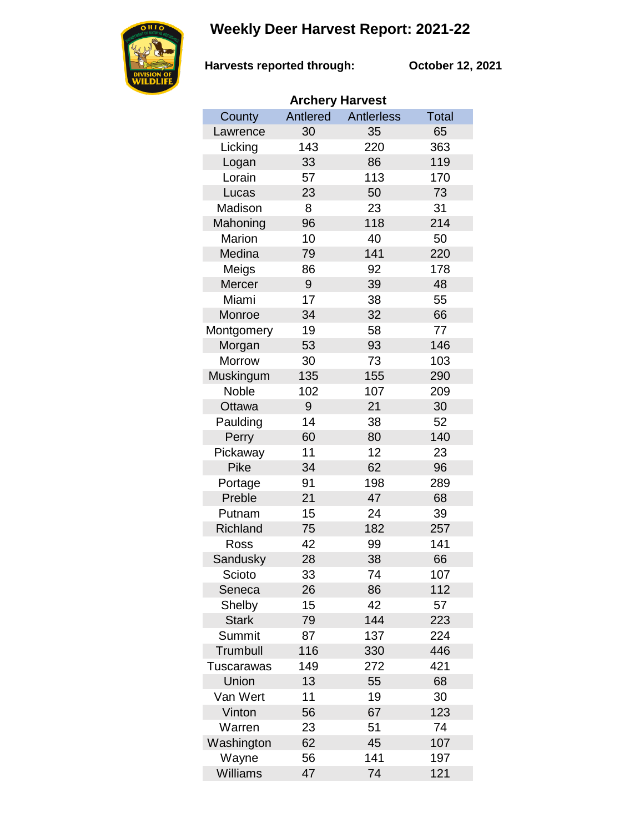## **Weekly Deer Harvest Report: 2021-22**



**Harvests reported through:** 

**October 12, 2021**

| <b>Archery Harvest</b> |          |            |              |  |  |  |  |
|------------------------|----------|------------|--------------|--|--|--|--|
| County                 | Antlered | Antlerless | <b>Total</b> |  |  |  |  |
| Lawrence               | 30       | 35         | 65           |  |  |  |  |
| Licking                | 143      | 220        | 363          |  |  |  |  |
| Logan                  | 33       | 86         | 119          |  |  |  |  |
| Lorain                 | 57       | 113        | 170          |  |  |  |  |
| Lucas                  | 23       | 50         | 73           |  |  |  |  |
| Madison                | 8        | 23         | 31           |  |  |  |  |
| Mahoning               | 96       | 118        | 214          |  |  |  |  |
| Marion                 | 10       | 40         | 50           |  |  |  |  |
| Medina                 | 79       | 141        | 220          |  |  |  |  |
| Meigs                  | 86       | 92         | 178          |  |  |  |  |
| Mercer                 | 9        | 39         | 48           |  |  |  |  |
| Miami                  | 17       | 38         | 55           |  |  |  |  |
| Monroe                 | 34       | 32         | 66           |  |  |  |  |
| Montgomery             | 19       | 58         | 77           |  |  |  |  |
| Morgan                 | 53       | 93         | 146          |  |  |  |  |
| Morrow                 | 30       | 73         | 103          |  |  |  |  |
| Muskingum              | 135      | 155        | 290          |  |  |  |  |
| Noble                  | 102      | 107        | 209          |  |  |  |  |
| Ottawa                 | 9        | 21         | 30           |  |  |  |  |
| Paulding               | 14       | 38         | 52           |  |  |  |  |
| Perry                  | 60       | 80         | 140          |  |  |  |  |
| Pickaway               | 11       | 12         | 23           |  |  |  |  |
| <b>Pike</b>            | 34       | 62         | 96           |  |  |  |  |
| Portage                | 91       | 198        | 289          |  |  |  |  |
| Preble                 | 21       | 47         | 68           |  |  |  |  |
| Putnam                 | 15       | 24         | 39           |  |  |  |  |
| Richland               | 75       | 182        | 257          |  |  |  |  |
| Ross                   | 42       | 99         | 141          |  |  |  |  |
| Sandusky               | 28       | 38         | 66           |  |  |  |  |
| Scioto                 | 33       | 74         | 107          |  |  |  |  |
| Seneca                 | 26       | 86         | 112          |  |  |  |  |
| Shelby                 | 15       | 42         | 57           |  |  |  |  |
| <b>Stark</b>           | 79       | 144        | 223          |  |  |  |  |
| Summit                 | 87       | 137        | 224          |  |  |  |  |
| Trumbull               | 116      | 330        | 446          |  |  |  |  |
| Tuscarawas             | 149      | 272        | 421          |  |  |  |  |
| Union                  | 13       | 55         | 68           |  |  |  |  |
| Van Wert               | 11       | 19         | 30           |  |  |  |  |
| Vinton                 | 56       | 67         | 123          |  |  |  |  |
| Warren                 | 23       | 51         | 74           |  |  |  |  |
| Washington             | 62       | 45         | 107          |  |  |  |  |
| Wayne                  | 56       | 141        | 197          |  |  |  |  |
| Williams               | 47       | 74         | 121          |  |  |  |  |